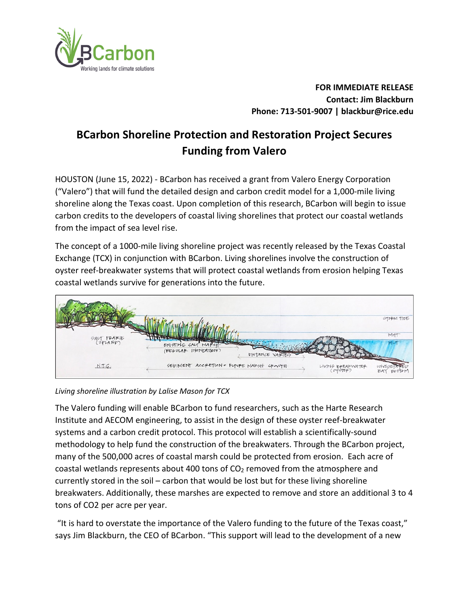

**FOR IMMEDIATE RELEASE Contact: Jim Blackburn Phone: 713-501-9007 | blackbur@rice.edu**

## **BCarbon Shoreline Protection and Restoration Project Secures Funding from Valero**

HOUSTON (June 15, 2022) - BCarbon has received a grant from Valero Energy Corporation ("Valero") that will fund the detailed design and carbon credit model for a 1,000-mile living shoreline along the Texas coast. Upon completion of this research, BCarbon will begin to issue carbon credits to the developers of coastal living shorelines that protect our coastal wetlands from the impact of sea level rise.

The concept of a 1000-mile living shoreline project was recently released by the Texas Coastal Exchange (TCX) in conjunction with BCarbon. Living shorelines involve the construction of oyster reef-breakwater systems that will protect coastal wetlands from erosion helping Texas coastal wetlands survive for generations into the future.



*Living shoreline illustration by Lalise Mason for TCX*

The Valero funding will enable BCarbon to fund researchers, such as the Harte Research Institute and AECOM engineering, to assist in the design of these oyster reef-breakwater systems and a carbon credit protocol. This protocol will establish a scientifically-sound methodology to help fund the construction of the breakwaters. Through the BCarbon project, many of the 500,000 acres of coastal marsh could be protected from erosion. Each acre of coastal wetlands represents about 400 tons of  $CO<sub>2</sub>$  removed from the atmosphere and currently stored in the soil – carbon that would be lost but for these living shoreline breakwaters. Additionally, these marshes are expected to remove and store an additional 3 to 4 tons of CO2 per acre per year.

"It is hard to overstate the importance of the Valero funding to the future of the Texas coast," says Jim Blackburn, the CEO of BCarbon. "This support will lead to the development of a new